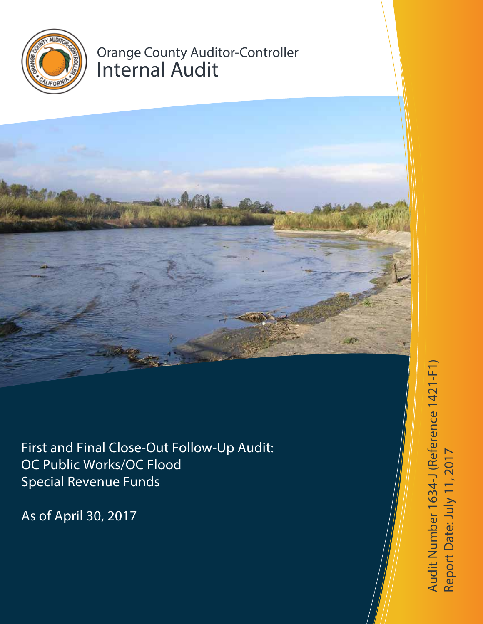

# Orange County Auditor-Controller Internal Audit



First and Final Close-Out Follow-Up Audit: OC Public Works/OC Flood Special Revenue Funds

As of April 30, 2017

Audit Number 1634-J (Reference 1421-F1) Report D a te: July 11, 2017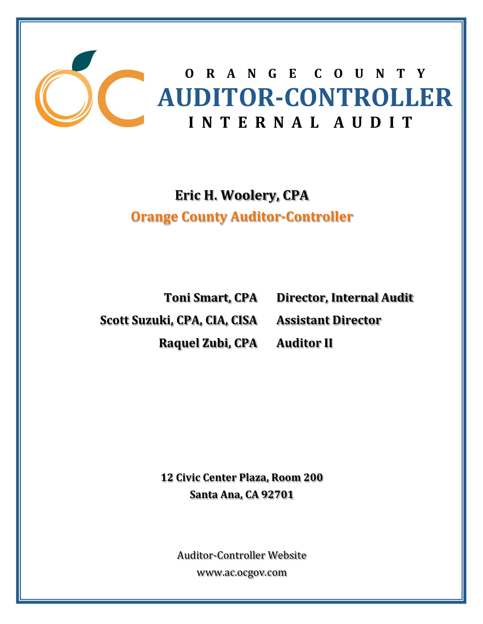

**Eric H. Woolery, CPA Orange County Auditor‐Controller**

**Scott Suzuki, CPA, CIA, CISA Assistant Director Raquel Zubi, CPA Auditor II**

**Toni Smart, CPA Director, Internal Audit**

**12 Civic Center Plaza, Room 200 Santa Ana, CA 92701**

Auditor‐Controller Website www.ac.ocgov.com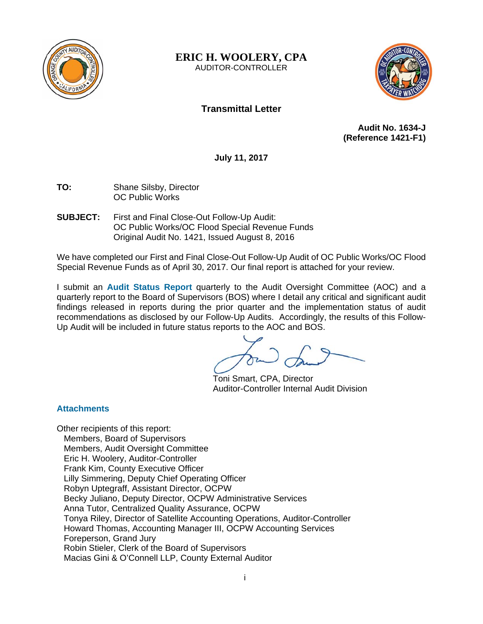

**ERIC H. WOOLERY, CPA**  AUDITOR-CONTROLLER



# **Transmittal Letter**

**Audit No. 1634-J (Reference 1421-F1)** 

**July 11, 2017** 

- **TO:** Shane Silsby, Director OC Public Works
- **SUBJECT:** First and Final Close-Out Follow-Up Audit: OC Public Works/OC Flood Special Revenue Funds Original Audit No. 1421, Issued August 8, 2016

We have completed our First and Final Close-Out Follow-Up Audit of OC Public Works/OC Flood Special Revenue Funds as of April 30, 2017. Our final report is attached for your review.

I submit an **Audit Status Report** quarterly to the Audit Oversight Committee (AOC) and a quarterly report to the Board of Supervisors (BOS) where I detail any critical and significant audit findings released in reports during the prior quarter and the implementation status of audit recommendations as disclosed by our Follow-Up Audits. Accordingly, the results of this Follow-Up Audit will be included in future status reports to the AOC and BOS.

Toni Smart, CPA, Director Auditor-Controller Internal Audit Division

# **Attachments**

Other recipients of this report: Members, Board of Supervisors Members, Audit Oversight Committee Eric H. Woolery, Auditor-Controller Frank Kim, County Executive Officer Lilly Simmering, Deputy Chief Operating Officer Robyn Uptegraff, Assistant Director, OCPW Becky Juliano, Deputy Director, OCPW Administrative Services Anna Tutor, Centralized Quality Assurance, OCPW Tonya Riley, Director of Satellite Accounting Operations, Auditor-Controller Howard Thomas, Accounting Manager III, OCPW Accounting Services Foreperson, Grand Jury Robin Stieler, Clerk of the Board of Supervisors Macias Gini & O'Connell LLP, County External Auditor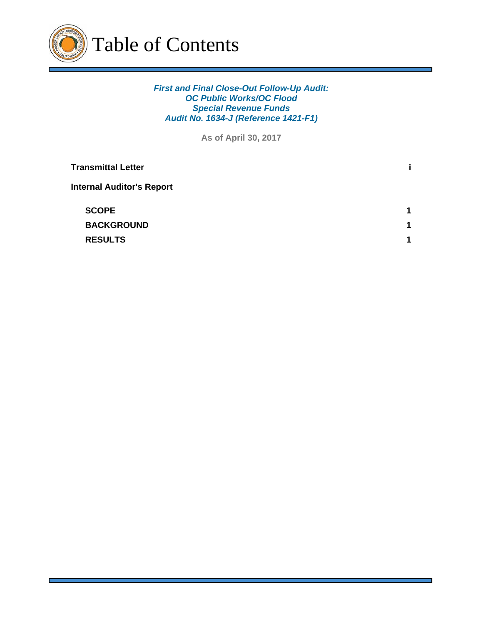

# *First and Final Close-Out Follow-Up Audit: OC Public Works/OC Flood Special Revenue Funds Audit No. 1634-J (Reference 1421-F1)*

**As of April 30, 2017**

| <b>Transmittal Letter</b>        | ĩ.                   |
|----------------------------------|----------------------|
| <b>Internal Auditor's Report</b> |                      |
| <b>SCOPE</b>                     | $\blacktriangleleft$ |
| <b>BACKGROUND</b>                | 1                    |
| <b>RESULTS</b>                   | 1                    |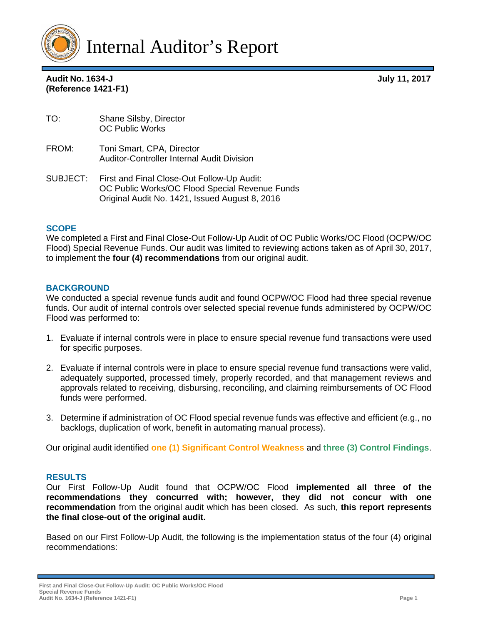

**Audit No. 1634-J July 11, 2017** 

| <b>Audit No. 1634-J</b> |  |
|-------------------------|--|
| (Reference 1421-F1)     |  |

| TO: | Shane Silsby, Director |
|-----|------------------------|
|     | <b>OC Public Works</b> |

- FROM: Toni Smart, CPA, Director Auditor-Controller Internal Audit Division
- SUBJECT: First and Final Close-Out Follow-Up Audit: OC Public Works/OC Flood Special Revenue Funds Original Audit No. 1421, Issued August 8, 2016

#### **SCOPE**

We completed a First and Final Close-Out Follow-Up Audit of OC Public Works/OC Flood (OCPW/OC Flood) Special Revenue Funds. Our audit was limited to reviewing actions taken as of April 30, 2017, to implement the **four (4) recommendations** from our original audit.

#### **BACKGROUND**

We conducted a special revenue funds audit and found OCPW/OC Flood had three special revenue funds. Our audit of internal controls over selected special revenue funds administered by OCPW/OC Flood was performed to:

- 1. Evaluate if internal controls were in place to ensure special revenue fund transactions were used for specific purposes.
- 2. Evaluate if internal controls were in place to ensure special revenue fund transactions were valid, adequately supported, processed timely, properly recorded, and that management reviews and approvals related to receiving, disbursing, reconciling, and claiming reimbursements of OC Flood funds were performed.
- 3. Determine if administration of OC Flood special revenue funds was effective and efficient (e.g., no backlogs, duplication of work, benefit in automating manual process).

Our original audit identified **one (1) Significant Control Weakness** and **three (3) Control Findings**.

#### **RESULTS**

Our First Follow-Up Audit found that OCPW/OC Flood **implemented all three of the recommendations they concurred with; however, they did not concur with one recommendation** from the original audit which has been closed. As such, **this report represents the final close-out of the original audit.**

Based on our First Follow-Up Audit, the following is the implementation status of the four (4) original recommendations:

**First and Final Close-Out Follow-Up Audit: OC Public Works/OC Flood Special Revenue Funds Audit No. 1634-J (Reference 1421-F1) Page 1**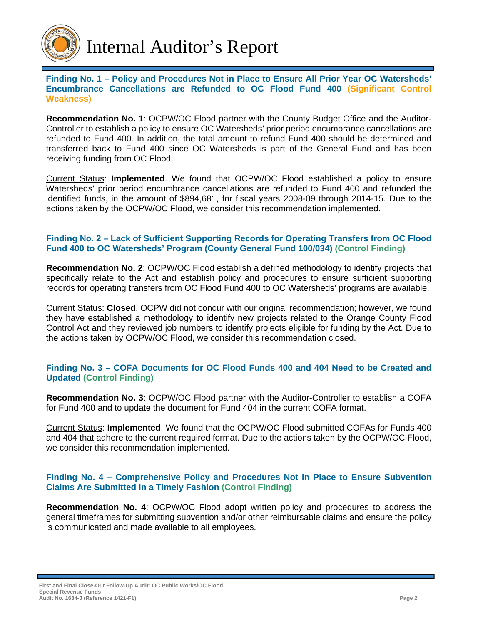

**Finding No. 1 – Policy and Procedures Not in Place to Ensure All Prior Year OC Watersheds' Encumbrance Cancellations are Refunded to OC Flood Fund 400 (Significant Control Weakness)**

**Recommendation No. 1**: OCPW/OC Flood partner with the County Budget Office and the Auditor-Controller to establish a policy to ensure OC Watersheds' prior period encumbrance cancellations are refunded to Fund 400. In addition, the total amount to refund Fund 400 should be determined and transferred back to Fund 400 since OC Watersheds is part of the General Fund and has been receiving funding from OC Flood.

Current Status: **Implemented**. We found that OCPW/OC Flood established a policy to ensure Watersheds' prior period encumbrance cancellations are refunded to Fund 400 and refunded the identified funds, in the amount of \$894,681, for fiscal years 2008-09 through 2014-15. Due to the actions taken by the OCPW/OC Flood, we consider this recommendation implemented.

# **Finding No. 2 – Lack of Sufficient Supporting Records for Operating Transfers from OC Flood Fund 400 to OC Watersheds' Program (County General Fund 100/034) (Control Finding)**

**Recommendation No. 2**: OCPW/OC Flood establish a defined methodology to identify projects that specifically relate to the Act and establish policy and procedures to ensure sufficient supporting records for operating transfers from OC Flood Fund 400 to OC Watersheds' programs are available.

Current Status: **Closed**. OCPW did not concur with our original recommendation; however, we found they have established a methodology to identify new projects related to the Orange County Flood Control Act and they reviewed job numbers to identify projects eligible for funding by the Act. Due to the actions taken by OCPW/OC Flood, we consider this recommendation closed.

# **Finding No. 3 – COFA Documents for OC Flood Funds 400 and 404 Need to be Created and Updated (Control Finding)**

**Recommendation No. 3**: OCPW/OC Flood partner with the Auditor-Controller to establish a COFA for Fund 400 and to update the document for Fund 404 in the current COFA format.

Current Status: **Implemented**. We found that the OCPW/OC Flood submitted COFAs for Funds 400 and 404 that adhere to the current required format. Due to the actions taken by the OCPW/OC Flood, we consider this recommendation implemented.

# **Finding No. 4 – Comprehensive Policy and Procedures Not in Place to Ensure Subvention Claims Are Submitted in a Timely Fashion (Control Finding)**

**Recommendation No. 4**: OCPW/OC Flood adopt written policy and procedures to address the general timeframes for submitting subvention and/or other reimbursable claims and ensure the policy is communicated and made available to all employees.